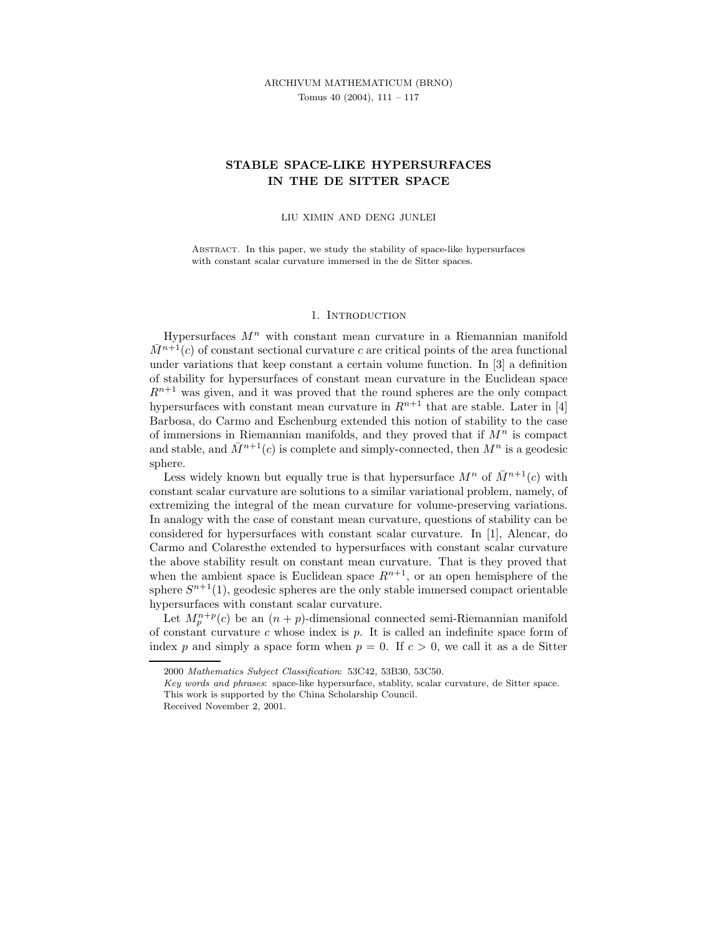# STABLE SPACE-LIKE HYPERSURFACES IN THE DE SITTER SPACE

#### LIU XIMIN AND DENG JUNLEI

Abstract. In this paper, we study the stability of space-like hypersurfaces with constant scalar curvature immersed in the de Sitter spaces.

# 1. INTRODUCTION

Hypersurfaces  $M<sup>n</sup>$  with constant mean curvature in a Riemannian manifold  $\overline{M}^{n+1}(c)$  of constant sectional curvature c are critical points of the area functional under variations that keep constant a certain volume function. In [3] a definition of stability for hypersurfaces of constant mean curvature in the Euclidean space  $R^{n+1}$  was given, and it was proved that the round spheres are the only compact hypersurfaces with constant mean curvature in  $R^{n+1}$  that are stable. Later in [4] Barbosa, do Carmo and Eschenburg extended this notion of stability to the case of immersions in Riemannian manifolds, and they proved that if  $M<sup>n</sup>$  is compact and stable, and  $\bar{M}^{n+1}(c)$  is complete and simply-connected, then  $M^n$  is a geodesic sphere.

Less widely known but equally true is that hypersurface  $M^n$  of  $\bar{M}^{n+1}(c)$  with constant scalar curvature are solutions to a similar variational problem, namely, of extremizing the integral of the mean curvature for volume-preserving variations. In analogy with the case of constant mean curvature, questions of stability can be considered for hypersurfaces with constant scalar curvature. In [1], Alencar, do Carmo and Colaresthe extended to hypersurfaces with constant scalar curvature the above stability result on constant mean curvature. That is they proved that when the ambient space is Euclidean space  $R^{n+1}$ , or an open hemisphere of the sphere  $S^{n+1}(1)$ , geodesic spheres are the only stable immersed compact orientable hypersurfaces with constant scalar curvature.

Let  $M_p^{n+p}(c)$  be an  $(n+p)$ -dimensional connected semi-Riemannian manifold of constant curvature  $c$  whose index is  $p$ . It is called an indefinite space form of index p and simply a space form when  $p = 0$ . If  $c > 0$ , we call it as a de Sitter

<sup>2000</sup> Mathematics Subject Classification: 53C42, 53B30, 53C50.

Key words and phrases: space-like hypersurface, stablity, scalar curvature, de Sitter space. This work is supported by the China Scholarship Council.

Received November 2, 2001.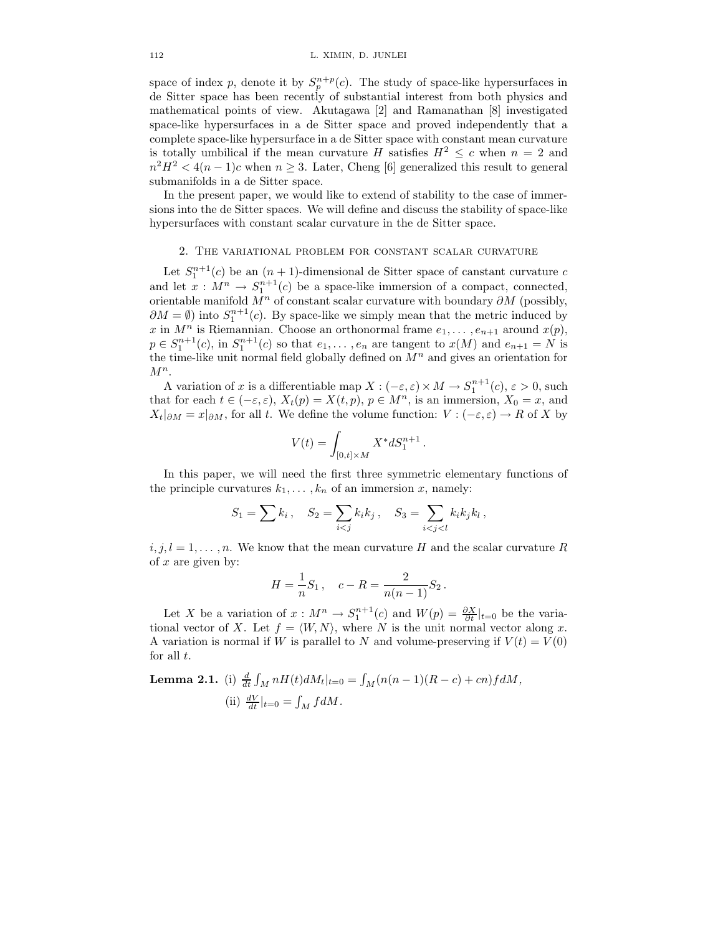space of index p, denote it by  $S_p^{n+p}(c)$ . The study of space-like hypersurfaces in de Sitter space has been recently of substantial interest from both physics and mathematical points of view. Akutagawa [2] and Ramanathan [8] investigated space-like hypersurfaces in a de Sitter space and proved independently that a complete space-like hypersurface in a de Sitter space with constant mean curvature is totally umbilical if the mean curvature H satisfies  $H^2 \leq c$  when  $n = 2$  and  $n^2H^2 < 4(n-1)c$  when  $n \geq 3$ . Later, Cheng [6] generalized this result to general submanifolds in a de Sitter space.

In the present paper, we would like to extend of stability to the case of immersions into the de Sitter spaces. We will define and discuss the stability of space-like hypersurfaces with constant scalar curvature in the de Sitter space.

# 2. The variational problem for constant scalar curvature

Let  $S_1^{n+1}(c)$  be an  $(n+1)$ -dimensional de Sitter space of canstant curvature c and let  $x : M^n \to S_1^{n+1}(c)$  be a space-like immersion of a compact, connected, orientable manifold  $M^n$  of constant scalar curvature with boundary  $\partial M$  (possibly,  $\partial M = \emptyset$ ) into  $S_1^{n+1}(c)$ . By space-like we simply mean that the metric induced by x in  $M^n$  is Riemannian. Choose an orthonormal frame  $e_1, \ldots, e_{n+1}$  around  $x(p)$ ,  $p \in S_1^{n+1}(c)$ , in  $S_1^{n+1}(c)$  so that  $e_1, \ldots, e_n$  are tangent to  $x(M)$  and  $e_{n+1} = N$  is the time-like unit normal field globally defined on  $M<sup>n</sup>$  and gives an orientation for  $M^n$ .

A variation of x is a differentiable map  $X: (-\varepsilon, \varepsilon) \times M \to S_1^{n+1}(c), \varepsilon > 0$ , such that for each  $t \in (-\varepsilon, \varepsilon), X_t(p) = X(t, p), p \in M<sup>n</sup>$ , is an immersion,  $X_0 = x$ , and  $X_t|_{\partial M} = x|_{\partial M}$ , for all t. We define the volume function:  $V : (-\varepsilon, \varepsilon) \to R$  of X by

$$
V(t) = \int_{[0,t] \times M} X^* dS_1^{n+1}.
$$

In this paper, we will need the first three symmetric elementary functions of the principle curvatures  $k_1, \ldots, k_n$  of an immersion x, namely:

$$
S_1 = \sum k_i
$$
,  $S_2 = \sum_{i < j} k_i k_j$ ,  $S_3 = \sum_{i < j < l} k_i k_j k_l$ ,

 $i, j, l = 1, \ldots, n$ . We know that the mean curvature H and the scalar curvature R of  $x$  are given by:

$$
H = \frac{1}{n}S_1, \quad c - R = \frac{2}{n(n-1)}S_2.
$$

Let X be a variation of  $x : M^n \to S_1^{n+1}(c)$  and  $W(p) = \frac{\partial X}{\partial t}|_{t=0}$  be the variational vector of X. Let  $f = \langle W, N \rangle$ , where N is the unit normal vector along x. A variation is normal if W is parallel to N and volume-preserving if  $V(t) = V(0)$ for all  $t$ .

**Lemma 2.1.** (i) 
$$
\frac{d}{dt} \int_M nH(t)dM_t|_{t=0} = \int_M (n(n-1)(R-c) + cn) f dM,
$$
 (ii)  $\frac{dV}{dt}|_{t=0} = \int_M f dM.$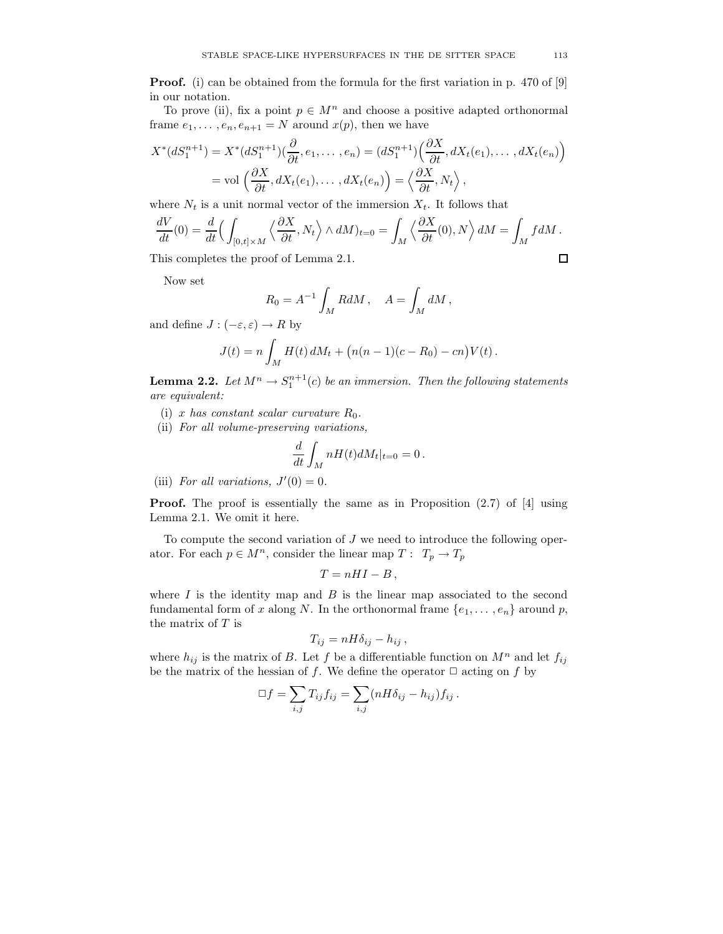**Proof.** (i) can be obtained from the formula for the first variation in p. 470 of [9] in our notation.

To prove (ii), fix a point  $p \in M^n$  and choose a positive adapted orthonormal frame  $e_1, \ldots, e_n, e_{n+1} = N$  around  $x(p)$ , then we have

$$
X^*(dS_1^{n+1}) = X^*(dS_1^{n+1})(\frac{\partial}{\partial t}, e_1, \dots, e_n) = (dS_1^{n+1})(\frac{\partial X}{\partial t}, dX_t(e_1), \dots, dX_t(e_n))
$$
  
= vol  $\left(\frac{\partial X}{\partial t}, dX_t(e_1), \dots, dX_t(e_n)\right) = \left\langle \frac{\partial X}{\partial t}, N_t \right\rangle$ ,

where  $N_t$  is a unit normal vector of the immersion  $X_t$ . It follows that

$$
\frac{dV}{dt}(0) = \frac{d}{dt} \Big( \int_{[0,t] \times M} \Big\langle \frac{\partial X}{\partial t}, N_t \Big\rangle \wedge dM \Big)_{t=0} = \int_M \Big\langle \frac{\partial X}{\partial t}(0), N \Big\rangle dM = \int_M f dM.
$$
  
This completes the proof of Lemma 2.1.

This completes the proof of Lemma 2.1.

Now set

$$
R_0 = A^{-1} \int_M R dM , \quad A = \int_M dM ,
$$

and define  $J: (-\varepsilon, \varepsilon) \to R$  by

$$
J(t) = n \int_M H(t) dM_t + (n(n-1)(c - R_0) - cn)V(t).
$$

**Lemma 2.2.** Let  $M^n \to S_1^{n+1}(c)$  be an immersion. Then the following statements are equivalent:

- (i) x has constant scalar curvature  $R_0$ .
- (ii) For all volume-preserving variations,

$$
\frac{d}{dt} \int_M nH(t)dM_t|_{t=0} = 0.
$$

(iii) For all variations,  $J'(0) = 0$ .

**Proof.** The proof is essentially the same as in Proposition  $(2.7)$  of [4] using Lemma 2.1. We omit it here.

To compute the second variation of  $J$  we need to introduce the following operator. For each  $p \in M^n$ , consider the linear map  $T: T_p \to T_p$ 

$$
T=nHI-B,
$$

where  $I$  is the identity map and  $B$  is the linear map associated to the second fundamental form of x along N. In the orthonormal frame  $\{e_1, \ldots, e_n\}$  around p, the matrix of  $T$  is

$$
T_{ij} = nH\delta_{ij} - h_{ij} ,
$$

where  $h_{ij}$  is the matrix of B. Let f be a differentiable function on  $M^n$  and let  $f_{ij}$ be the matrix of the hessian of f. We define the operator  $\Box$  acting on f by

$$
\Box f = \sum_{i,j} T_{ij} f_{ij} = \sum_{i,j} (nH\delta_{ij} - h_{ij}) f_{ij}.
$$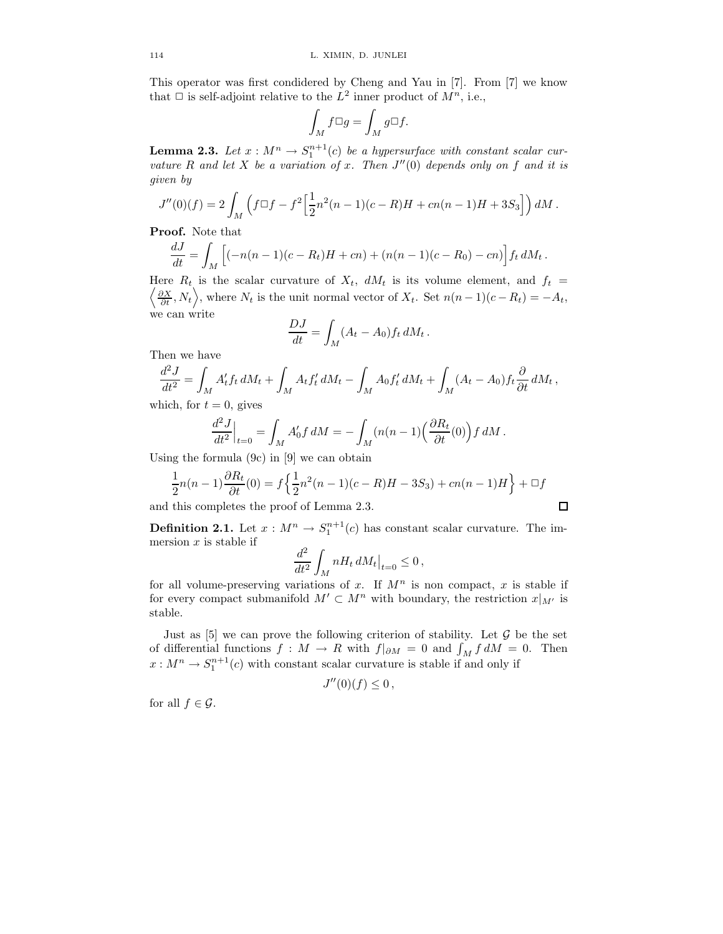This operator was first condidered by Cheng and Yau in [7]. From [7] we know that  $\Box$  is self-adjoint relative to the  $L^2$  inner product of  $M^n$ , i.e.,

$$
\int_M f \Box g = \int_M g \Box f.
$$

**Lemma 2.3.** Let  $x : M^n \to S_1^{n+1}(c)$  be a hypersurface with constant scalar curvature R and let X be a variation of x. Then  $J''(0)$  depends only on f and it is given by

$$
J''(0)(f) = 2\int_M \left(f\Box f - f^2\Big[\frac{1}{2}n^2(n-1)(c-R)H + cn(n-1)H + 3S_3\Big]\right)dM.
$$

Proof. Note that

$$
\frac{dJ}{dt} = \int_M \left[ (-n(n-1)(c - R_t)H + cn) + (n(n-1)(c - R_0) - cn) \right] f_t dM_t.
$$

Here  $R_t$  is the scalar curvature of  $X_t$ ,  $dM_t$  is its volume element, and  $f_t =$  $\left\langle \frac{\partial X}{\partial t}, N_t \right\rangle$ , where  $N_t$  is the unit normal vector of  $X_t$ . Set  $n(n-1)(c - R_t) = -A_t$ , we can write

$$
\frac{DJ}{dt} = \int_M (A_t - A_0) f_t \, dM_t \, .
$$

Then we have

$$
\frac{d^2J}{dt^2} = \int_M A'_t f_t dM_t + \int_M A_t f'_t dM_t - \int_M A_0 f'_t dM_t + \int_M (A_t - A_0) f_t \frac{\partial}{\partial t} dM_t,
$$

which, for  $t = 0$ , gives

$$
\frac{d^2J}{dt^2}\Big|_{t=0} = \int_M A'_0 f\,dM = -\int_M (n(n-1)\Big(\frac{\partial R_t}{\partial t}(0)\Big) f\,dM\,.
$$

Using the formula (9c) in [9] we can obtain

$$
\frac{1}{2}n(n-1)\frac{\partial R_t}{\partial t}(0) = f\left\{\frac{1}{2}n^2(n-1)(c-R)H - 3S_3\right\} + cn(n-1)H\right\} + \Box f
$$

and this completes the proof of Lemma 2.3.

**Definition 2.1.** Let  $x : M^n \to S_1^{n+1}(c)$  has constant scalar curvature. The immersion  $x$  is stable if

$$
\frac{d^2}{dt^2} \int_M nH_t \, dM_t \big|_{t=0} \le 0 \,,
$$

for all volume-preserving variations of x. If  $M^n$  is non compact, x is stable if for every compact submanifold  $M' \subset M^n$  with boundary, the restriction  $x|_{M'}$  is stable.

Just as  $[5]$  we can prove the following criterion of stability. Let  $\mathcal G$  be the set of differential functions  $f : M \to R$  with  $f|_{\partial M} = 0$  and  $\int_M f dM = 0$ . Then  $x: M^n \to S_1^{n+1}(c)$  with constant scalar curvature is stable if and only if

$$
J''(0)(f) \leq 0,
$$

for all  $f \in \mathcal{G}$ .

$$
\square
$$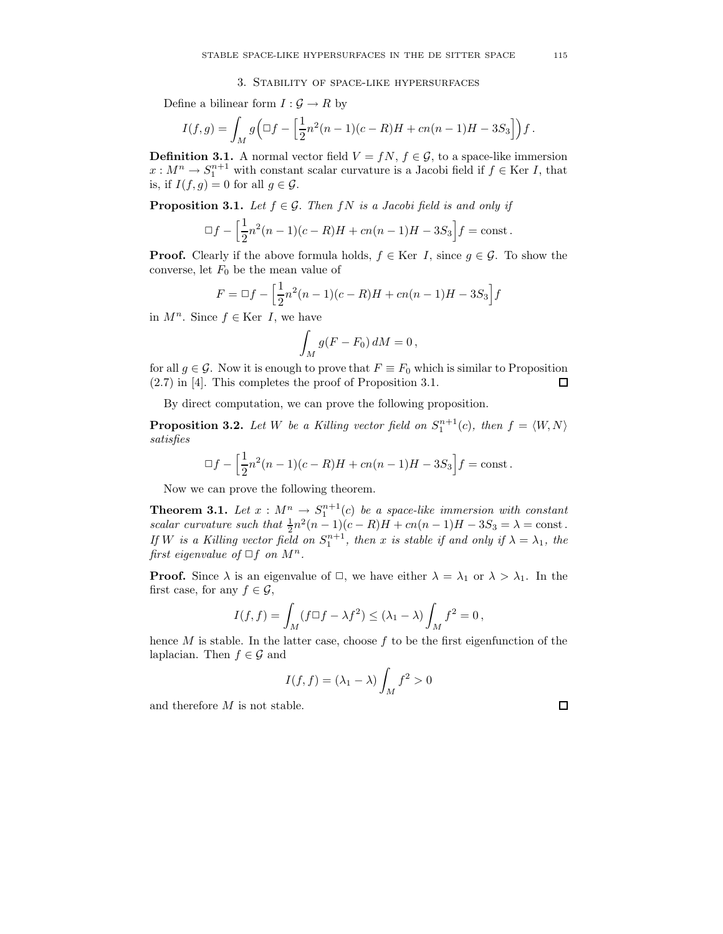# 3. Stability of space-like hypersurfaces

Define a bilinear form  $I: \mathcal{G} \to R$  by

$$
I(f,g) = \int_M g\Big(\Box f - \Big[\frac{1}{2}n^2(n-1)(c-R)H + cn(n-1)H - 3S_3\Big]\Big) f.
$$

**Definition 3.1.** A normal vector field  $V = fN$ ,  $f \in \mathcal{G}$ , to a space-like immersion  $x: M^n \to S_1^{n+1}$  with constant scalar curvature is a Jacobi field if  $f \in \text{Ker } I$ , that is, if  $I(f, g) = 0$  for all  $g \in \mathcal{G}$ .

**Proposition 3.1.** Let  $f \in \mathcal{G}$ . Then  $fN$  is a Jacobi field is and only if

$$
\Box f - \left[\frac{1}{2}n^2(n-1)(c-R)H + cn(n-1)H - 3S_3\right]f = \text{const.}
$$

**Proof.** Clearly if the above formula holds,  $f \in \text{Ker } I$ , since  $g \in \mathcal{G}$ . To show the converse, let  $F_0$  be the mean value of

$$
F = \Box f - \left[\frac{1}{2}n^2(n-1)(c-R)H + cn(n-1)H - 3S_3\right]f
$$

in  $M^n$ . Since  $f \in \text{Ker } I$ , we have

$$
\int_M g(F - F_0) dM = 0,
$$

for all  $g \in \mathcal{G}$ . Now it is enough to prove that  $F \equiv F_0$  which is similar to Proposition (2.7) in [4]. This completes the proof of Proposition 3.1.  $\Box$ 

By direct computation, we can prove the following proposition.

**Proposition 3.2.** Let W be a Killing vector field on  $S_1^{n+1}(c)$ , then  $f = \langle W, N \rangle$ satisfies

$$
\Box f - \left[\frac{1}{2}n^2(n-1)(c-R)H + cn(n-1)H - 3S_3\right]f = \text{const.}
$$

Now we can prove the following theorem.

**Theorem 3.1.** Let  $x : M^n \to S^{n+1}_1(c)$  be a space-like immersion with constant scalar curvature such that  $\frac{1}{2}n^2(n-1)(c-R)H + cn(n-1)H - 3S_3 = \lambda = \text{const.}$ If W is a Killing vector field on  $S_1^{n+1}$ , then x is stable if and only if  $\lambda = \lambda_1$ , the first eigenvalue of  $\Box f$  on  $M^n$ .

**Proof.** Since  $\lambda$  is an eigenvalue of  $\Box$ , we have either  $\lambda = \lambda_1$  or  $\lambda > \lambda_1$ . In the first case, for any  $f \in \mathcal{G}$ ,

$$
I(f, f) = \int_M (f \Box f - \lambda f^2) \le (\lambda_1 - \lambda) \int_M f^2 = 0,
$$

hence  $M$  is stable. In the latter case, choose  $f$  to be the first eigenfunction of the laplacian. Then  $f \in \mathcal{G}$  and

$$
I(f, f) = (\lambda_1 - \lambda) \int_M f^2 > 0
$$

and therefore M is not stable.

|--|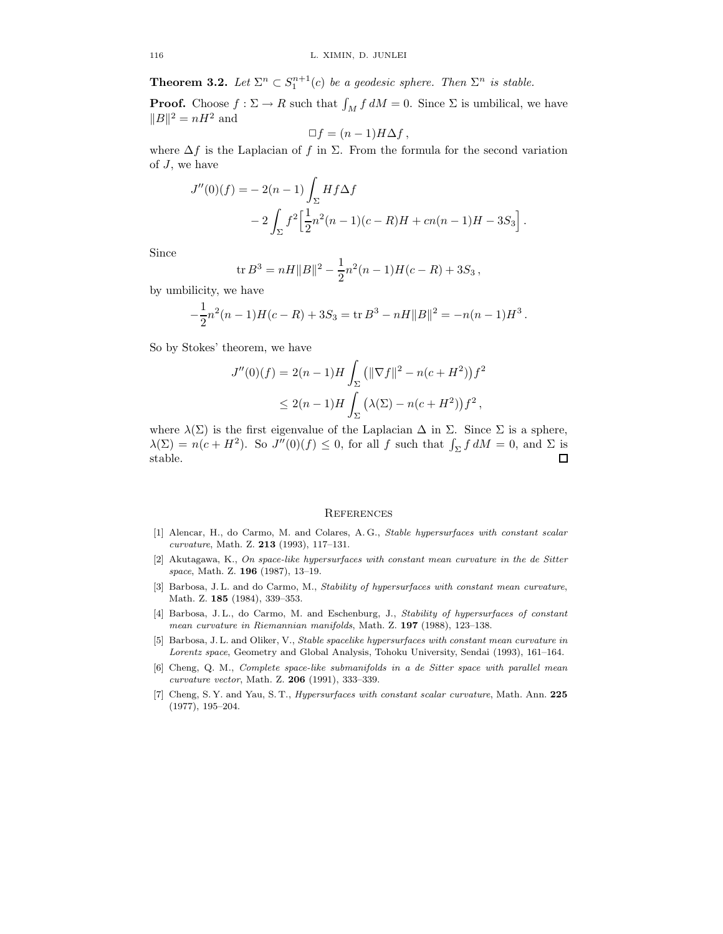**Theorem 3.2.** Let  $\Sigma^n \subset S_1^{n+1}(c)$  be a geodesic sphere. Then  $\Sigma^n$  is stable.

**Proof.** Choose  $f : \Sigma \to R$  such that  $\int_M f dM = 0$ . Since  $\Sigma$  is umbilical, we have  $||B||^2 = nH^2$  and

$$
\Box f = (n-1)H\Delta f,
$$

where  $\Delta f$  is the Laplacian of f in  $\Sigma$ . From the formula for the second variation of J, we have

$$
J''(0)(f) = -2(n-1)\int_{\Sigma} Hf\Delta f
$$
  
-2 $\int_{\Sigma} f^2 \Big[\frac{1}{2}n^2(n-1)(c-R)H + cn(n-1)H - 3S_3\Big].$ 

Since

$$
\operatorname{tr} B^3 = nH||B||^2 - \frac{1}{2}n^2(n-1)H(c-R) + 3S_3,
$$

by umbilicity, we have

$$
-\frac{1}{2}n^2(n-1)H(c-R) + 3S_3 = \text{tr } B^3 - nH||B||^2 = -n(n-1)H^3.
$$

So by Stokes' theorem, we have

$$
J''(0)(f) = 2(n-1)H \int_{\Sigma} (||\nabla f||^2 - n(c + H^2)) f^2
$$
  
 
$$
\leq 2(n-1)H \int_{\Sigma} (\lambda(\Sigma) - n(c + H^2)) f^2,
$$

where  $\lambda(\Sigma)$  is the first eigenvalue of the Laplacian  $\Delta$  in  $\Sigma$ . Since  $\Sigma$  is a sphere,  $\lambda(\Sigma) = n(c + H^2)$ . So  $J''(0)(f) \leq 0$ , for all f such that  $\int_{\Sigma} f dM = 0$ , and  $\Sigma$  is stable.  $\Box$ 

# **REFERENCES**

- [1] Alencar, H., do Carmo, M. and Colares, A. G., Stable hypersurfaces with constant scalar curvature, Math. Z. 213 (1993), 117–131.
- [2] Akutagawa, K., On space-like hypersurfaces with constant mean curvature in the de Sitter space, Math. Z. **196** (1987), 13-19.
- [3] Barbosa, J. L. and do Carmo, M., Stability of hypersurfaces with constant mean curvature, Math. Z. 185 (1984), 339–353.
- [4] Barbosa, J. L., do Carmo, M. and Eschenburg, J., Stability of hypersurfaces of constant mean curvature in Riemannian manifolds, Math. Z. 197 (1988), 123–138.
- [5] Barbosa, J. L. and Oliker, V., Stable spacelike hypersurfaces with constant mean curvature in Lorentz space, Geometry and Global Analysis, Tohoku University, Sendai (1993), 161–164.
- [6] Cheng, Q. M., Complete space-like submanifolds in a de Sitter space with parallel mean curvature vector, Math. Z. 206 (1991), 333–339.
- [7] Cheng, S. Y. and Yau, S. T., *Hypersurfaces with constant scalar curvature*, Math. Ann. 225 (1977), 195–204.